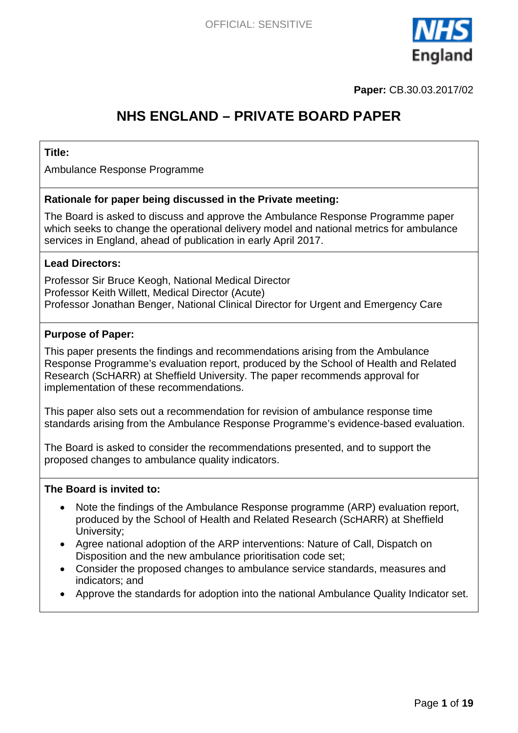

**Paper:** CB.30.03.2017/02

# **NHS ENGLAND – PRIVATE BOARD PAPER**

#### **Title:**

Ambulance Response Programme

#### **Rationale for paper being discussed in the Private meeting:**

The Board is asked to discuss and approve the Ambulance Response Programme paper which seeks to change the operational delivery model and national metrics for ambulance services in England, ahead of publication in early April 2017.

#### **Lead Directors:**

Professor Sir Bruce Keogh, National Medical Director Professor Keith Willett, Medical Director (Acute) Professor Jonathan Benger, National Clinical Director for Urgent and Emergency Care

#### **Purpose of Paper:**

This paper presents the findings and recommendations arising from the Ambulance Response Programme's evaluation report, produced by the School of Health and Related Research (ScHARR) at Sheffield University. The paper recommends approval for implementation of these recommendations.

This paper also sets out a recommendation for revision of ambulance response time standards arising from the Ambulance Response Programme's evidence-based evaluation.

The Board is asked to consider the recommendations presented, and to support the proposed changes to ambulance quality indicators.

#### **The Board is invited to:**

- Note the findings of the Ambulance Response programme (ARP) evaluation report, produced by the School of Health and Related Research (ScHARR) at Sheffield University;
- Agree national adoption of the ARP interventions: Nature of Call, Dispatch on Disposition and the new ambulance prioritisation code set;
- Consider the proposed changes to ambulance service standards, measures and indicators; and
- Approve the standards for adoption into the national Ambulance Quality Indicator set.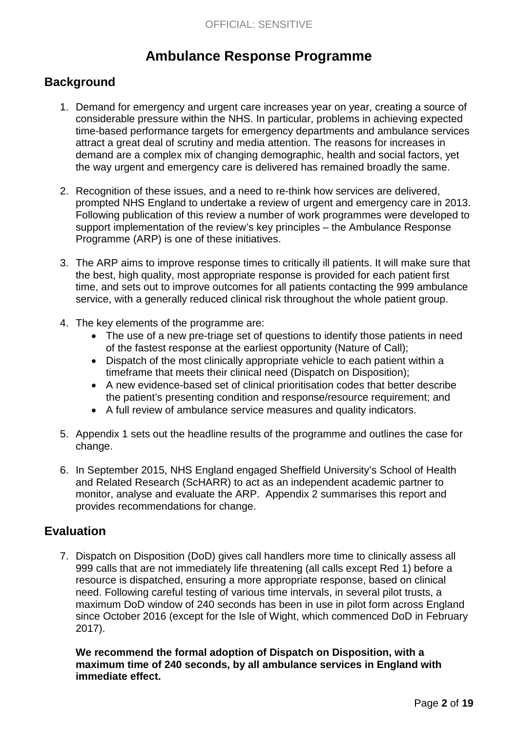# **Ambulance Response Programme**

### **Background**

- 1. Demand for emergency and urgent care increases year on year, creating a source of considerable pressure within the NHS. In particular, problems in achieving expected time-based performance targets for emergency departments and ambulance services attract a great deal of scrutiny and media attention. The reasons for increases in demand are a complex mix of changing demographic, health and social factors, yet the way urgent and emergency care is delivered has remained broadly the same.
- 2. Recognition of these issues, and a need to re-think how services are delivered, prompted NHS England to undertake a review of urgent and emergency care in 2013. Following publication of this review a number of work programmes were developed to support implementation of the review's key principles – the Ambulance Response Programme (ARP) is one of these initiatives.
- 3. The ARP aims to improve response times to critically ill patients. It will make sure that the best, high quality, most appropriate response is provided for each patient first time, and sets out to improve outcomes for all patients contacting the 999 ambulance service, with a generally reduced clinical risk throughout the whole patient group.
- 4. The key elements of the programme are:
	- The use of a new pre-triage set of questions to identify those patients in need of the fastest response at the earliest opportunity (Nature of Call);
	- Dispatch of the most clinically appropriate vehicle to each patient within a timeframe that meets their clinical need (Dispatch on Disposition);
	- A new evidence-based set of clinical prioritisation codes that better describe the patient's presenting condition and response/resource requirement; and
	- A full review of ambulance service measures and quality indicators.
- 5. Appendix 1 sets out the headline results of the programme and outlines the case for change.
- 6. In September 2015, NHS England engaged Sheffield University's School of Health and Related Research (ScHARR) to act as an independent academic partner to monitor, analyse and evaluate the ARP. Appendix 2 summarises this report and provides recommendations for change.

#### **Evaluation**

7. Dispatch on Disposition (DoD) gives call handlers more time to clinically assess all 999 calls that are not immediately life threatening (all calls except Red 1) before a resource is dispatched, ensuring a more appropriate response, based on clinical need. Following careful testing of various time intervals, in several pilot trusts, a maximum DoD window of 240 seconds has been in use in pilot form across England since October 2016 (except for the Isle of Wight, which commenced DoD in February 2017).

**We recommend the formal adoption of Dispatch on Disposition, with a maximum time of 240 seconds, by all ambulance services in England with immediate effect.**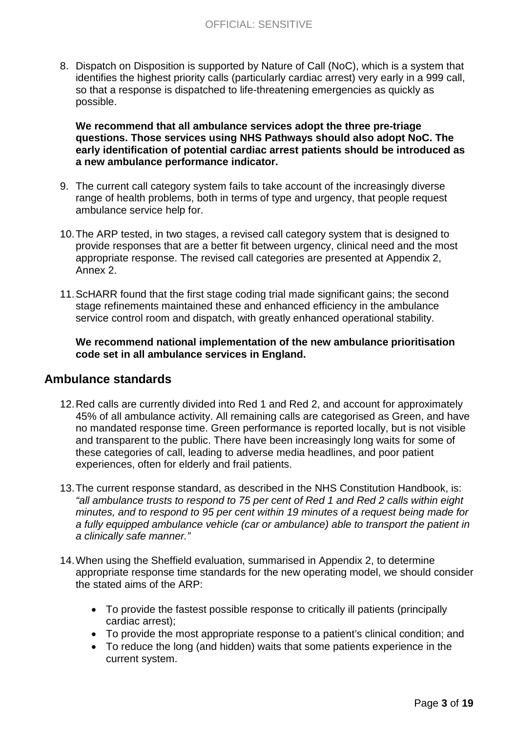8. Dispatch on Disposition is supported by Nature of Call (NoC), which is a system that identifies the highest priority calls (particularly cardiac arrest) very early in a 999 call, so that a response is dispatched to life-threatening emergencies as quickly as possible.

**We recommend that all ambulance services adopt the three pre-triage questions. Those services using NHS Pathways should also adopt NoC. The early identification of potential cardiac arrest patients should be introduced as a new ambulance performance indicator.**

- 9. The current call category system fails to take account of the increasingly diverse range of health problems, both in terms of type and urgency, that people request ambulance service help for.
- 10.The ARP tested, in two stages, a revised call category system that is designed to provide responses that are a better fit between urgency, clinical need and the most appropriate response. The revised call categories are presented at Appendix 2, Annex 2.
- 11.ScHARR found that the first stage coding trial made significant gains; the second stage refinements maintained these and enhanced efficiency in the ambulance service control room and dispatch, with greatly enhanced operational stability.

**We recommend national implementation of the new ambulance prioritisation code set in all ambulance services in England.**

#### **Ambulance standards**

- 12.Red calls are currently divided into Red 1 and Red 2, and account for approximately 45% of all ambulance activity. All remaining calls are categorised as Green, and have no mandated response time. Green performance is reported locally, but is not visible and transparent to the public. There have been increasingly long waits for some of these categories of call, leading to adverse media headlines, and poor patient experiences, often for elderly and frail patients.
- 13.The current response standard, as described in the NHS Constitution Handbook, is: *"all ambulance trusts to respond to 75 per cent of Red 1 and Red 2 calls within eight minutes, and to respond to 95 per cent within 19 minutes of a request being made for a fully equipped ambulance vehicle (car or ambulance) able to transport the patient in a clinically safe manner."*
- 14.When using the Sheffield evaluation, summarised in Appendix 2, to determine appropriate response time standards for the new operating model, we should consider the stated aims of the ARP:
	- To provide the fastest possible response to critically ill patients (principally cardiac arrest);
	- To provide the most appropriate response to a patient's clinical condition; and
	- To reduce the long (and hidden) waits that some patients experience in the current system.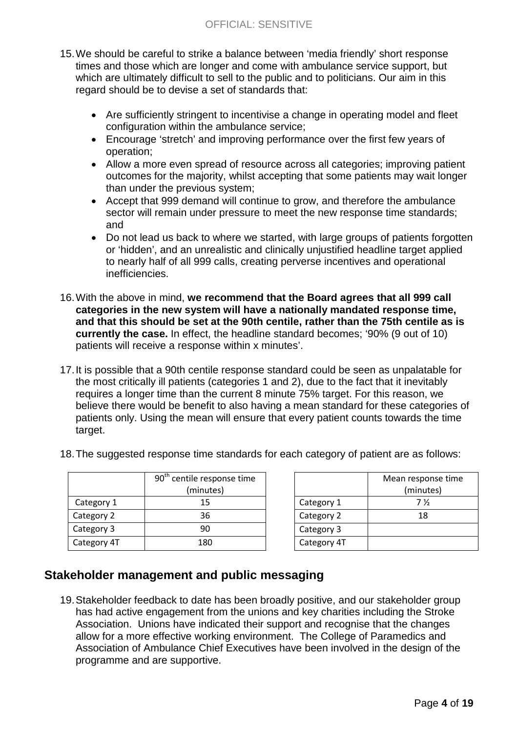- 15.We should be careful to strike a balance between 'media friendly' short response times and those which are longer and come with ambulance service support, but which are ultimately difficult to sell to the public and to politicians. Our aim in this regard should be to devise a set of standards that:
	- Are sufficiently stringent to incentivise a change in operating model and fleet configuration within the ambulance service;
	- Encourage 'stretch' and improving performance over the first few years of operation;
	- Allow a more even spread of resource across all categories; improving patient outcomes for the majority, whilst accepting that some patients may wait longer than under the previous system;
	- Accept that 999 demand will continue to grow, and therefore the ambulance sector will remain under pressure to meet the new response time standards; and
	- Do not lead us back to where we started, with large groups of patients forgotten or 'hidden', and an unrealistic and clinically unjustified headline target applied to nearly half of all 999 calls, creating perverse incentives and operational inefficiencies.
- 16.With the above in mind, **we recommend that the Board agrees that all 999 call categories in the new system will have a nationally mandated response time, and that this should be set at the 90th centile, rather than the 75th centile as is currently the case.** In effect, the headline standard becomes; '90% (9 out of 10) patients will receive a response within x minutes'.
- 17.It is possible that a 90th centile response standard could be seen as unpalatable for the most critically ill patients (categories 1 and 2), due to the fact that it inevitably requires a longer time than the current 8 minute 75% target. For this reason, we believe there would be benefit to also having a mean standard for these categories of patients only. Using the mean will ensure that every patient counts towards the time target.

|             | 90 <sup>th</sup> centile response time |  |
|-------------|----------------------------------------|--|
|             | (minutes)                              |  |
| Category 1  | 15                                     |  |
| Category 2  | 36                                     |  |
| Category 3  | 90                                     |  |
| Category 4T | 180                                    |  |

|             | Mean response time<br>(minutes) |
|-------------|---------------------------------|
| Category 1  | 7 %                             |
| Category 2  | 18                              |
| Category 3  |                                 |
| Category 4T |                                 |

#### 18.The suggested response time standards for each category of patient are as follows:

## **Stakeholder management and public messaging**

19.Stakeholder feedback to date has been broadly positive, and our stakeholder group has had active engagement from the unions and key charities including the Stroke Association. Unions have indicated their support and recognise that the changes allow for a more effective working environment. The College of Paramedics and Association of Ambulance Chief Executives have been involved in the design of the programme and are supportive.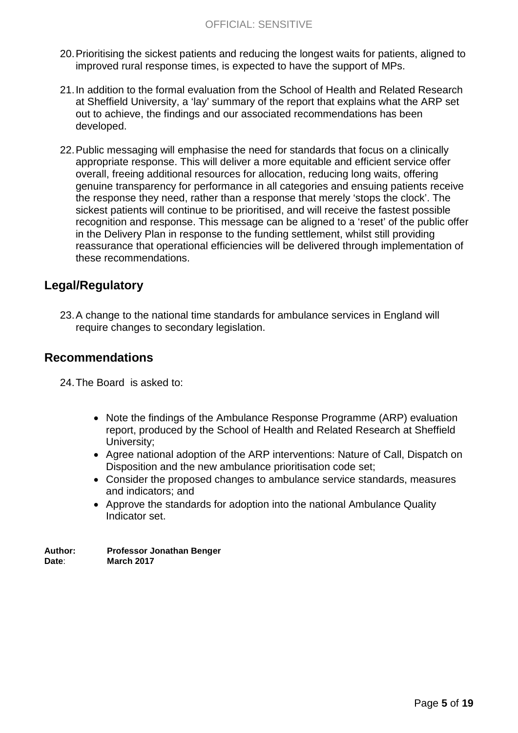- 20.Prioritising the sickest patients and reducing the longest waits for patients, aligned to improved rural response times, is expected to have the support of MPs.
- 21.In addition to the formal evaluation from the School of Health and Related Research at Sheffield University, a 'lay' summary of the report that explains what the ARP set out to achieve, the findings and our associated recommendations has been developed.
- 22.Public messaging will emphasise the need for standards that focus on a clinically appropriate response. This will deliver a more equitable and efficient service offer overall, freeing additional resources for allocation, reducing long waits, offering genuine transparency for performance in all categories and ensuing patients receive the response they need, rather than a response that merely 'stops the clock'. The sickest patients will continue to be prioritised, and will receive the fastest possible recognition and response. This message can be aligned to a 'reset' of the public offer in the Delivery Plan in response to the funding settlement, whilst still providing reassurance that operational efficiencies will be delivered through implementation of these recommendations.

## **Legal/Regulatory**

23.A change to the national time standards for ambulance services in England will require changes to secondary legislation.

#### **Recommendations**

24.The Board is asked to:

- Note the findings of the Ambulance Response Programme (ARP) evaluation report, produced by the School of Health and Related Research at Sheffield University;
- Agree national adoption of the ARP interventions: Nature of Call, Dispatch on Disposition and the new ambulance prioritisation code set;
- Consider the proposed changes to ambulance service standards, measures and indicators; and
- Approve the standards for adoption into the national Ambulance Quality Indicator set.

**Author: Professor Jonathan Benger Date**: **March 2017**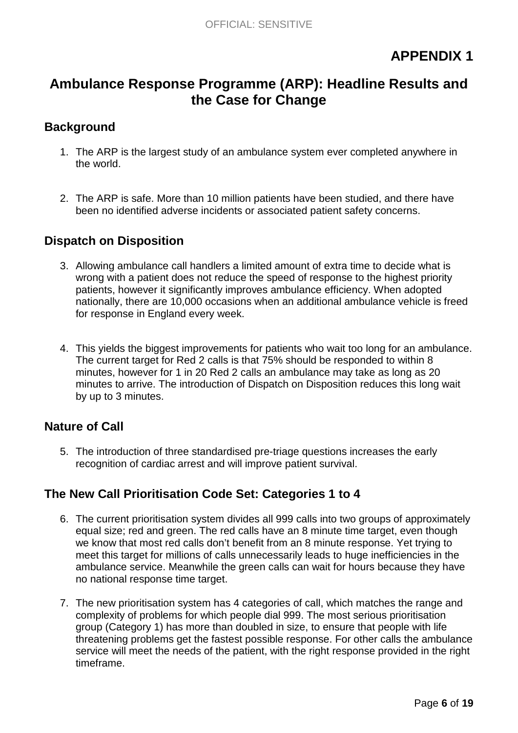# **APPENDIX 1**

# **Ambulance Response Programme (ARP): Headline Results and the Case for Change**

#### **Background**

- 1. The ARP is the largest study of an ambulance system ever completed anywhere in the world.
- 2. The ARP is safe. More than 10 million patients have been studied, and there have been no identified adverse incidents or associated patient safety concerns.

## **Dispatch on Disposition**

- 3. Allowing ambulance call handlers a limited amount of extra time to decide what is wrong with a patient does not reduce the speed of response to the highest priority patients, however it significantly improves ambulance efficiency. When adopted nationally, there are 10,000 occasions when an additional ambulance vehicle is freed for response in England every week.
- 4. This yields the biggest improvements for patients who wait too long for an ambulance. The current target for Red 2 calls is that 75% should be responded to within 8 minutes, however for 1 in 20 Red 2 calls an ambulance may take as long as 20 minutes to arrive. The introduction of Dispatch on Disposition reduces this long wait by up to 3 minutes.

#### **Nature of Call**

5. The introduction of three standardised pre-triage questions increases the early recognition of cardiac arrest and will improve patient survival.

## **The New Call Prioritisation Code Set: Categories 1 to 4**

- 6. The current prioritisation system divides all 999 calls into two groups of approximately equal size; red and green. The red calls have an 8 minute time target, even though we know that most red calls don't benefit from an 8 minute response. Yet trying to meet this target for millions of calls unnecessarily leads to huge inefficiencies in the ambulance service. Meanwhile the green calls can wait for hours because they have no national response time target.
- 7. The new prioritisation system has 4 categories of call, which matches the range and complexity of problems for which people dial 999. The most serious prioritisation group (Category 1) has more than doubled in size, to ensure that people with life threatening problems get the fastest possible response. For other calls the ambulance service will meet the needs of the patient, with the right response provided in the right timeframe.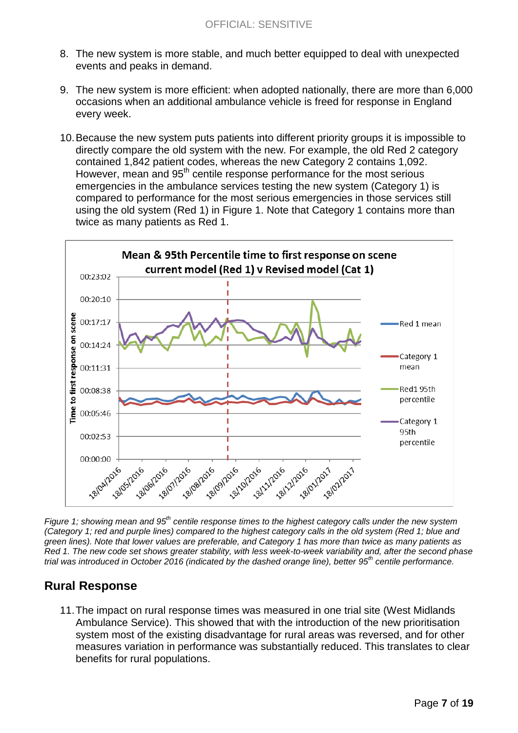- 8. The new system is more stable, and much better equipped to deal with unexpected events and peaks in demand.
- 9. The new system is more efficient: when adopted nationally, there are more than 6,000 occasions when an additional ambulance vehicle is freed for response in England every week.
- 10.Because the new system puts patients into different priority groups it is impossible to directly compare the old system with the new. For example, the old Red 2 category contained 1,842 patient codes, whereas the new Category 2 contains 1,092. However, mean and 95<sup>th</sup> centile response performance for the most serious emergencies in the ambulance services testing the new system (Category 1) is compared to performance for the most serious emergencies in those services still using the old system (Red 1) in Figure 1. Note that Category 1 contains more than twice as many patients as Red 1.



*Figure 1; showing mean and 95th centile response times to the highest category calls under the new system (Category 1; red and purple lines) compared to the highest category calls in the old system (Red 1; blue and green lines). Note that lower values are preferable, and Category 1 has more than twice as many patients as Red 1. The new code set shows greater stability, with less week-to-week variability and, after the second phase trial was introduced in October 2016 (indicated by the dashed orange line), better 95th centile performance.* 

#### **Rural Response**

11.The impact on rural response times was measured in one trial site (West Midlands Ambulance Service). This showed that with the introduction of the new prioritisation system most of the existing disadvantage for rural areas was reversed, and for other measures variation in performance was substantially reduced. This translates to clear benefits for rural populations.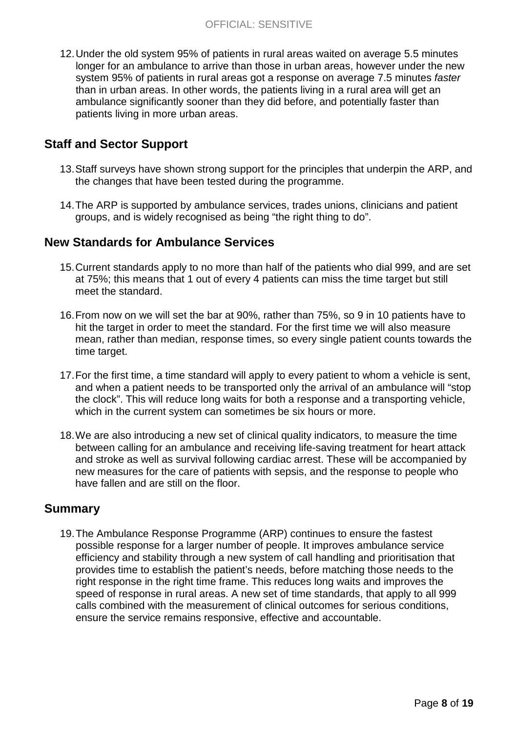12.Under the old system 95% of patients in rural areas waited on average 5.5 minutes longer for an ambulance to arrive than those in urban areas, however under the new system 95% of patients in rural areas got a response on average 7.5 minutes *faster*  than in urban areas. In other words, the patients living in a rural area will get an ambulance significantly sooner than they did before, and potentially faster than patients living in more urban areas.

### **Staff and Sector Support**

- 13.Staff surveys have shown strong support for the principles that underpin the ARP, and the changes that have been tested during the programme.
- 14.The ARP is supported by ambulance services, trades unions, clinicians and patient groups, and is widely recognised as being "the right thing to do".

#### **New Standards for Ambulance Services**

- 15.Current standards apply to no more than half of the patients who dial 999, and are set at 75%; this means that 1 out of every 4 patients can miss the time target but still meet the standard.
- 16.From now on we will set the bar at 90%, rather than 75%, so 9 in 10 patients have to hit the target in order to meet the standard. For the first time we will also measure mean, rather than median, response times, so every single patient counts towards the time target.
- 17.For the first time, a time standard will apply to every patient to whom a vehicle is sent, and when a patient needs to be transported only the arrival of an ambulance will "stop the clock". This will reduce long waits for both a response and a transporting vehicle, which in the current system can sometimes be six hours or more.
- 18.We are also introducing a new set of clinical quality indicators, to measure the time between calling for an ambulance and receiving life-saving treatment for heart attack and stroke as well as survival following cardiac arrest. These will be accompanied by new measures for the care of patients with sepsis, and the response to people who have fallen and are still on the floor.

#### **Summary**

19.The Ambulance Response Programme (ARP) continues to ensure the fastest possible response for a larger number of people. It improves ambulance service efficiency and stability through a new system of call handling and prioritisation that provides time to establish the patient's needs, before matching those needs to the right response in the right time frame. This reduces long waits and improves the speed of response in rural areas. A new set of time standards, that apply to all 999 calls combined with the measurement of clinical outcomes for serious conditions, ensure the service remains responsive, effective and accountable.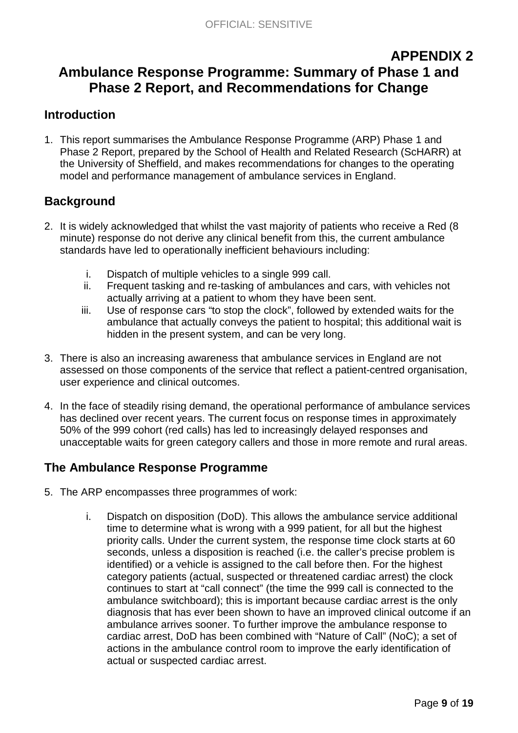# **APPENDIX 2**

# **Ambulance Response Programme: Summary of Phase 1 and Phase 2 Report, and Recommendations for Change**

#### **Introduction**

1. This report summarises the Ambulance Response Programme (ARP) Phase 1 and Phase 2 Report, prepared by the School of Health and Related Research (ScHARR) at the University of Sheffield, and makes recommendations for changes to the operating model and performance management of ambulance services in England.

#### **Background**

- 2. It is widely acknowledged that whilst the vast majority of patients who receive a Red (8 minute) response do not derive any clinical benefit from this, the current ambulance standards have led to operationally inefficient behaviours including:
	- i. Dispatch of multiple vehicles to a single 999 call.
	- ii. Frequent tasking and re-tasking of ambulances and cars, with vehicles not actually arriving at a patient to whom they have been sent.
	- iii. Use of response cars "to stop the clock", followed by extended waits for the ambulance that actually conveys the patient to hospital; this additional wait is hidden in the present system, and can be very long.
- 3. There is also an increasing awareness that ambulance services in England are not assessed on those components of the service that reflect a patient-centred organisation, user experience and clinical outcomes.
- 4. In the face of steadily rising demand, the operational performance of ambulance services has declined over recent years. The current focus on response times in approximately 50% of the 999 cohort (red calls) has led to increasingly delayed responses and unacceptable waits for green category callers and those in more remote and rural areas.

#### **The Ambulance Response Programme**

- 5. The ARP encompasses three programmes of work:
	- i. Dispatch on disposition (DoD). This allows the ambulance service additional time to determine what is wrong with a 999 patient, for all but the highest priority calls. Under the current system, the response time clock starts at 60 seconds, unless a disposition is reached (i.e. the caller's precise problem is identified) or a vehicle is assigned to the call before then. For the highest category patients (actual, suspected or threatened cardiac arrest) the clock continues to start at "call connect" (the time the 999 call is connected to the ambulance switchboard); this is important because cardiac arrest is the only diagnosis that has ever been shown to have an improved clinical outcome if an ambulance arrives sooner. To further improve the ambulance response to cardiac arrest, DoD has been combined with "Nature of Call" (NoC); a set of actions in the ambulance control room to improve the early identification of actual or suspected cardiac arrest.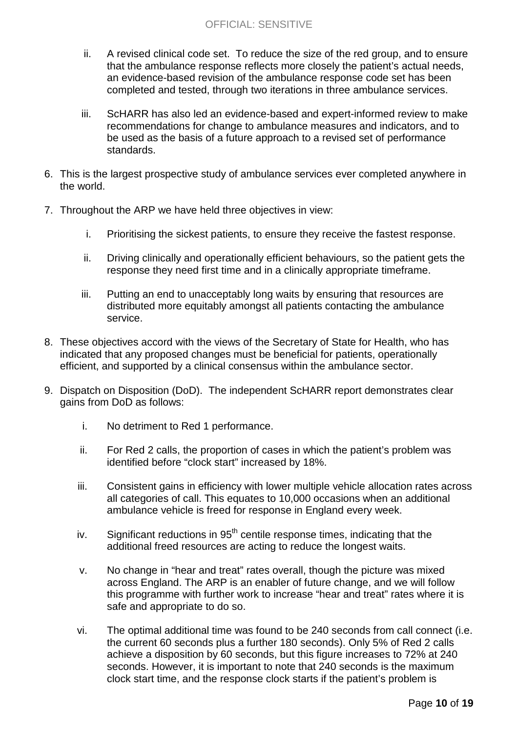- ii. A revised clinical code set. To reduce the size of the red group, and to ensure that the ambulance response reflects more closely the patient's actual needs, an evidence-based revision of the ambulance response code set has been completed and tested, through two iterations in three ambulance services.
- iii. ScHARR has also led an evidence-based and expert-informed review to make recommendations for change to ambulance measures and indicators, and to be used as the basis of a future approach to a revised set of performance standards.
- 6. This is the largest prospective study of ambulance services ever completed anywhere in the world.
- 7. Throughout the ARP we have held three objectives in view:
	- i. Prioritising the sickest patients, to ensure they receive the fastest response.
	- ii. Driving clinically and operationally efficient behaviours, so the patient gets the response they need first time and in a clinically appropriate timeframe.
	- iii. Putting an end to unacceptably long waits by ensuring that resources are distributed more equitably amongst all patients contacting the ambulance service.
- 8. These objectives accord with the views of the Secretary of State for Health, who has indicated that any proposed changes must be beneficial for patients, operationally efficient, and supported by a clinical consensus within the ambulance sector.
- 9. Dispatch on Disposition (DoD). The independent ScHARR report demonstrates clear gains from DoD as follows:
	- i. No detriment to Red 1 performance.
	- ii. For Red 2 calls, the proportion of cases in which the patient's problem was identified before "clock start" increased by 18%.
	- iii. Consistent gains in efficiency with lower multiple vehicle allocation rates across all categories of call. This equates to 10,000 occasions when an additional ambulance vehicle is freed for response in England every week.
	- iv. Significant reductions in  $95<sup>th</sup>$  centile response times, indicating that the additional freed resources are acting to reduce the longest waits.
	- v. No change in "hear and treat" rates overall, though the picture was mixed across England. The ARP is an enabler of future change, and we will follow this programme with further work to increase "hear and treat" rates where it is safe and appropriate to do so.
	- vi. The optimal additional time was found to be 240 seconds from call connect (i.e. the current 60 seconds plus a further 180 seconds). Only 5% of Red 2 calls achieve a disposition by 60 seconds, but this figure increases to 72% at 240 seconds. However, it is important to note that 240 seconds is the maximum clock start time, and the response clock starts if the patient's problem is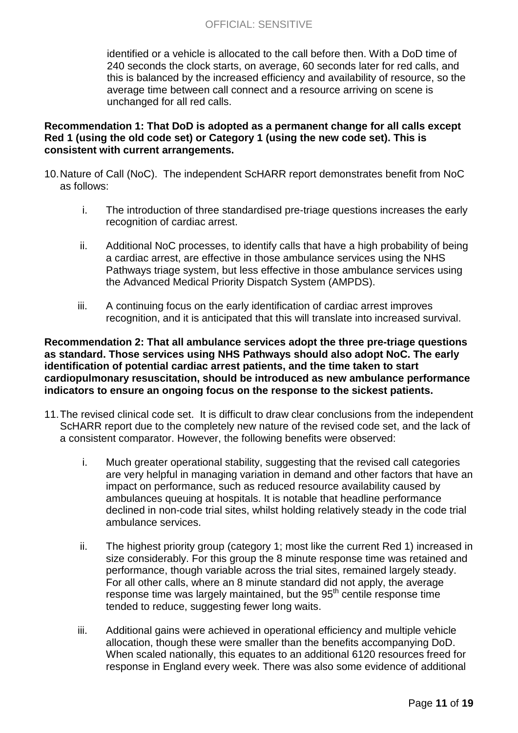identified or a vehicle is allocated to the call before then. With a DoD time of 240 seconds the clock starts, on average, 60 seconds later for red calls, and this is balanced by the increased efficiency and availability of resource, so the average time between call connect and a resource arriving on scene is unchanged for all red calls.

#### **Recommendation 1: That DoD is adopted as a permanent change for all calls except Red 1 (using the old code set) or Category 1 (using the new code set). This is consistent with current arrangements.**

- 10.Nature of Call (NoC). The independent ScHARR report demonstrates benefit from NoC as follows:
	- i. The introduction of three standardised pre-triage questions increases the early recognition of cardiac arrest.
	- ii. Additional NoC processes, to identify calls that have a high probability of being a cardiac arrest, are effective in those ambulance services using the NHS Pathways triage system, but less effective in those ambulance services using the Advanced Medical Priority Dispatch System (AMPDS).
	- iii. A continuing focus on the early identification of cardiac arrest improves recognition, and it is anticipated that this will translate into increased survival.

**Recommendation 2: That all ambulance services adopt the three pre-triage questions as standard. Those services using NHS Pathways should also adopt NoC. The early identification of potential cardiac arrest patients, and the time taken to start cardiopulmonary resuscitation, should be introduced as new ambulance performance indicators to ensure an ongoing focus on the response to the sickest patients.** 

- 11.The revised clinical code set. It is difficult to draw clear conclusions from the independent ScHARR report due to the completely new nature of the revised code set, and the lack of a consistent comparator. However, the following benefits were observed:
	- i. Much greater operational stability, suggesting that the revised call categories are very helpful in managing variation in demand and other factors that have an impact on performance, such as reduced resource availability caused by ambulances queuing at hospitals. It is notable that headline performance declined in non-code trial sites, whilst holding relatively steady in the code trial ambulance services.
	- ii. The highest priority group (category 1; most like the current Red 1) increased in size considerably. For this group the 8 minute response time was retained and performance, though variable across the trial sites, remained largely steady. For all other calls, where an 8 minute standard did not apply, the average response time was largely maintained, but the 95<sup>th</sup> centile response time tended to reduce, suggesting fewer long waits.
	- iii. Additional gains were achieved in operational efficiency and multiple vehicle allocation, though these were smaller than the benefits accompanying DoD. When scaled nationally, this equates to an additional 6120 resources freed for response in England every week. There was also some evidence of additional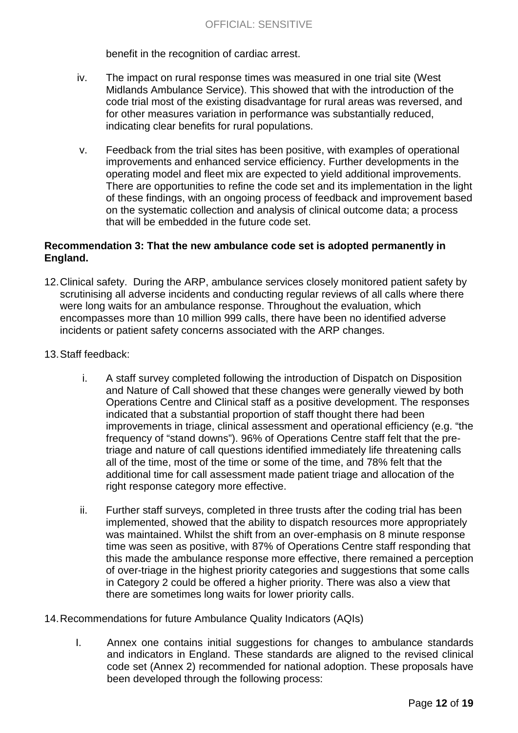benefit in the recognition of cardiac arrest.

- iv. The impact on rural response times was measured in one trial site (West Midlands Ambulance Service). This showed that with the introduction of the code trial most of the existing disadvantage for rural areas was reversed, and for other measures variation in performance was substantially reduced, indicating clear benefits for rural populations.
- v. Feedback from the trial sites has been positive, with examples of operational improvements and enhanced service efficiency. Further developments in the operating model and fleet mix are expected to yield additional improvements. There are opportunities to refine the code set and its implementation in the light of these findings, with an ongoing process of feedback and improvement based on the systematic collection and analysis of clinical outcome data; a process that will be embedded in the future code set.

#### **Recommendation 3: That the new ambulance code set is adopted permanently in England.**

- 12.Clinical safety. During the ARP, ambulance services closely monitored patient safety by scrutinising all adverse incidents and conducting regular reviews of all calls where there were long waits for an ambulance response. Throughout the evaluation, which encompasses more than 10 million 999 calls, there have been no identified adverse incidents or patient safety concerns associated with the ARP changes.
- 13.Staff feedback:
	- i. A staff survey completed following the introduction of Dispatch on Disposition and Nature of Call showed that these changes were generally viewed by both Operations Centre and Clinical staff as a positive development. The responses indicated that a substantial proportion of staff thought there had been improvements in triage, clinical assessment and operational efficiency (e.g. "the frequency of "stand downs"). 96% of Operations Centre staff felt that the pretriage and nature of call questions identified immediately life threatening calls all of the time, most of the time or some of the time, and 78% felt that the additional time for call assessment made patient triage and allocation of the right response category more effective.
	- ii. Further staff surveys, completed in three trusts after the coding trial has been implemented, showed that the ability to dispatch resources more appropriately was maintained. Whilst the shift from an over-emphasis on 8 minute response time was seen as positive, with 87% of Operations Centre staff responding that this made the ambulance response more effective, there remained a perception of over-triage in the highest priority categories and suggestions that some calls in Category 2 could be offered a higher priority. There was also a view that there are sometimes long waits for lower priority calls.
- 14.Recommendations for future Ambulance Quality Indicators (AQIs)
	- I. Annex one contains initial suggestions for changes to ambulance standards and indicators in England. These standards are aligned to the revised clinical code set (Annex 2) recommended for national adoption. These proposals have been developed through the following process: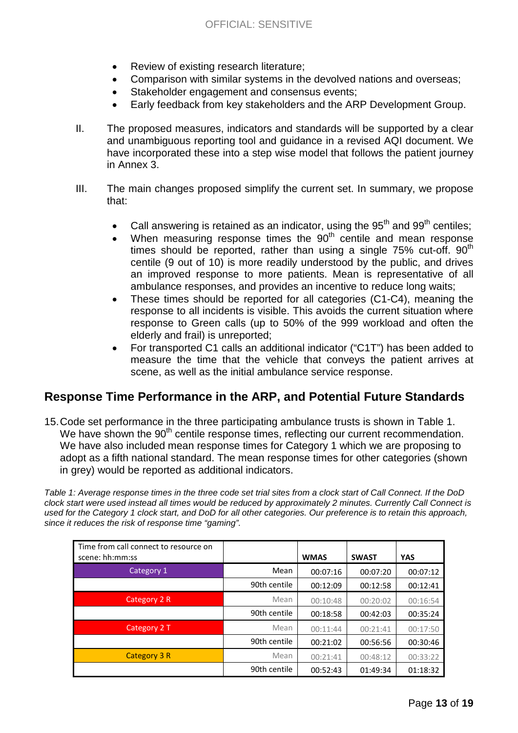- Review of existing research literature;
- Comparison with similar systems in the devolved nations and overseas;
- Stakeholder engagement and consensus events;
- Early feedback from key stakeholders and the ARP Development Group.
- II. The proposed measures, indicators and standards will be supported by a clear and unambiguous reporting tool and guidance in a revised AQI document. We have incorporated these into a step wise model that follows the patient journey in Annex 3.
- III. The main changes proposed simplify the current set. In summary, we propose that:
	- Call answering is retained as an indicator, using the  $95<sup>th</sup>$  and  $99<sup>th</sup>$  centiles;
	- When measuring response times the 90<sup>th</sup> centile and mean response times should be reported, rather than using a single  $75\%$  cut-off.  $90<sup>th</sup>$ centile (9 out of 10) is more readily understood by the public, and drives an improved response to more patients. Mean is representative of all ambulance responses, and provides an incentive to reduce long waits;
	- These times should be reported for all categories (C1-C4), meaning the response to all incidents is visible. This avoids the current situation where response to Green calls (up to 50% of the 999 workload and often the elderly and frail) is unreported;
	- For transported C1 calls an additional indicator ("C1T") has been added to measure the time that the vehicle that conveys the patient arrives at scene, as well as the initial ambulance service response.

## **Response Time Performance in the ARP, and Potential Future Standards**

15.Code set performance in the three participating ambulance trusts is shown in Table 1. We have shown the 90<sup>th</sup> centile response times, reflecting our current recommendation. We have also included mean response times for Category 1 which we are proposing to adopt as a fifth national standard. The mean response times for other categories (shown in grey) would be reported as additional indicators.

*Table 1: Average response times in the three code set trial sites from a clock start of Call Connect. If the DoD clock start were used instead all times would be reduced by approximately 2 minutes. Currently Call Connect is used for the Category 1 clock start, and DoD for all other categories. Our preference is to retain this approach, since it reduces the risk of response time "gaming".*

| Time from call connect to resource on |              |             |              |            |
|---------------------------------------|--------------|-------------|--------------|------------|
| scene: hh:mm:ss                       |              | <b>WMAS</b> | <b>SWAST</b> | <b>YAS</b> |
| Category 1                            | Mean         | 00:07:16    | 00:07:20     | 00:07:12   |
|                                       | 90th centile | 00:12:09    | 00:12:58     | 00:12:41   |
| Category 2 R                          | Mean         | 00:10:48    | 00:20:02     | 00:16:54   |
|                                       | 90th centile | 00:18:58    | 00:42:03     | 00:35:24   |
| Category 2 T                          | Mean         | 00:11:44    | 00:21:41     | 00:17:50   |
|                                       | 90th centile | 00:21:02    | 00:56:56     | 00:30:46   |
| <b>Category 3 R</b>                   | Mean         | 00:21:41    | 00:48:12     | 00:33:22   |
|                                       | 90th centile | 00:52:43    | 01:49:34     | 01:18:32   |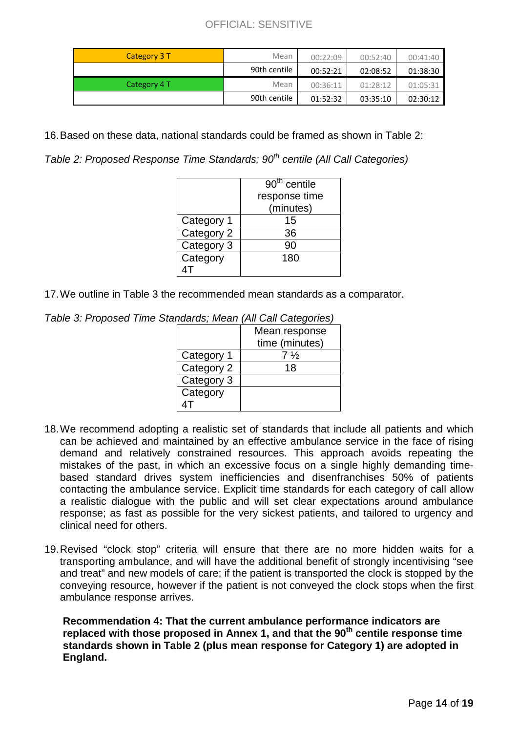#### OFFICIAL: SENSITIVE

| Category 3 T | Mean         | 00:22:09 | 00:52:40 | 00:41:40 |
|--------------|--------------|----------|----------|----------|
|              | 90th centile | 00:52:21 | 02:08:52 | 01:38:30 |
| Category 4 T | Mean         | 00:36:11 | 01:28:12 | 01:05:31 |
|              | 90th centile | 01:52:32 | 03:35:10 | 02:30:12 |

16.Based on these data, national standards could be framed as shown in Table 2:

*Table 2: Proposed Response Time Standards; 90th centile (All Call Categories)*

|            | $90th$ centile |
|------------|----------------|
|            | response time  |
|            | (minutes)      |
| Category 1 | 15             |
| Category 2 | 36             |
| Category 3 | 90             |
| Category   | 180            |
|            |                |

17.We outline in Table 3 the recommended mean standards as a comparator.

| Table 3: Proposed Time Standards; Mean (All Call Categories) |  |
|--------------------------------------------------------------|--|
|--------------------------------------------------------------|--|

|            | Mean response  |
|------------|----------------|
|            | time (minutes) |
| Category 1 | $7\frac{1}{2}$ |
| Category 2 | 18             |
| Category 3 |                |
| Category   |                |
|            |                |

- 18.We recommend adopting a realistic set of standards that include all patients and which can be achieved and maintained by an effective ambulance service in the face of rising demand and relatively constrained resources. This approach avoids repeating the mistakes of the past, in which an excessive focus on a single highly demanding timebased standard drives system inefficiencies and disenfranchises 50% of patients contacting the ambulance service. Explicit time standards for each category of call allow a realistic dialogue with the public and will set clear expectations around ambulance response; as fast as possible for the very sickest patients, and tailored to urgency and clinical need for others.
- 19.Revised "clock stop" criteria will ensure that there are no more hidden waits for a transporting ambulance, and will have the additional benefit of strongly incentivising "see and treat" and new models of care; if the patient is transported the clock is stopped by the conveying resource, however if the patient is not conveyed the clock stops when the first ambulance response arrives.

**Recommendation 4: That the current ambulance performance indicators are replaced with those proposed in Annex 1, and that the 90th centile response time standards shown in Table 2 (plus mean response for Category 1) are adopted in England.**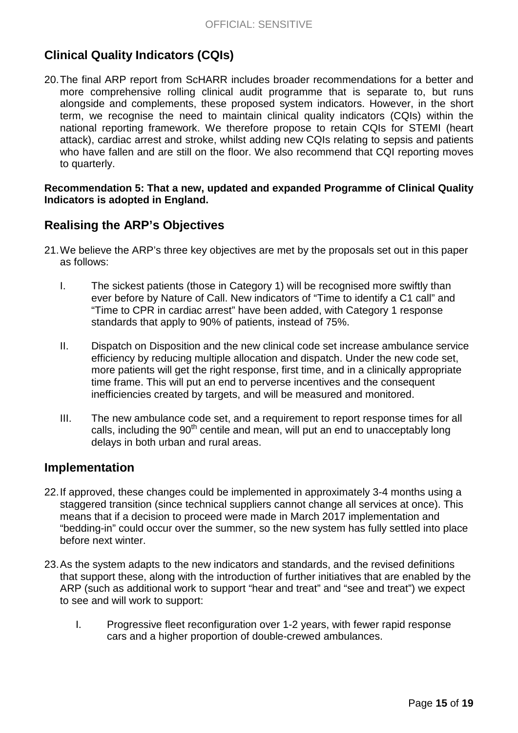## **Clinical Quality Indicators (CQIs)**

20.The final ARP report from ScHARR includes broader recommendations for a better and more comprehensive rolling clinical audit programme that is separate to, but runs alongside and complements, these proposed system indicators. However, in the short term, we recognise the need to maintain clinical quality indicators (CQIs) within the national reporting framework. We therefore propose to retain CQIs for STEMI (heart attack), cardiac arrest and stroke, whilst adding new CQIs relating to sepsis and patients who have fallen and are still on the floor. We also recommend that CQI reporting moves to quarterly.

**Recommendation 5: That a new, updated and expanded Programme of Clinical Quality Indicators is adopted in England.**

## **Realising the ARP's Objectives**

- 21.We believe the ARP's three key objectives are met by the proposals set out in this paper as follows:
	- I. The sickest patients (those in Category 1) will be recognised more swiftly than ever before by Nature of Call. New indicators of "Time to identify a C1 call" and "Time to CPR in cardiac arrest" have been added, with Category 1 response standards that apply to 90% of patients, instead of 75%.
	- II. Dispatch on Disposition and the new clinical code set increase ambulance service efficiency by reducing multiple allocation and dispatch. Under the new code set, more patients will get the right response, first time, and in a clinically appropriate time frame. This will put an end to perverse incentives and the consequent inefficiencies created by targets, and will be measured and monitored.
	- III. The new ambulance code set, and a requirement to report response times for all calls, including the  $90<sup>th</sup>$  centile and mean, will put an end to unacceptably long delays in both urban and rural areas.

#### **Implementation**

- 22.If approved, these changes could be implemented in approximately 3-4 months using a staggered transition (since technical suppliers cannot change all services at once). This means that if a decision to proceed were made in March 2017 implementation and "bedding-in" could occur over the summer, so the new system has fully settled into place before next winter.
- 23.As the system adapts to the new indicators and standards, and the revised definitions that support these, along with the introduction of further initiatives that are enabled by the ARP (such as additional work to support "hear and treat" and "see and treat") we expect to see and will work to support:
	- I. Progressive fleet reconfiguration over 1-2 years, with fewer rapid response cars and a higher proportion of double-crewed ambulances.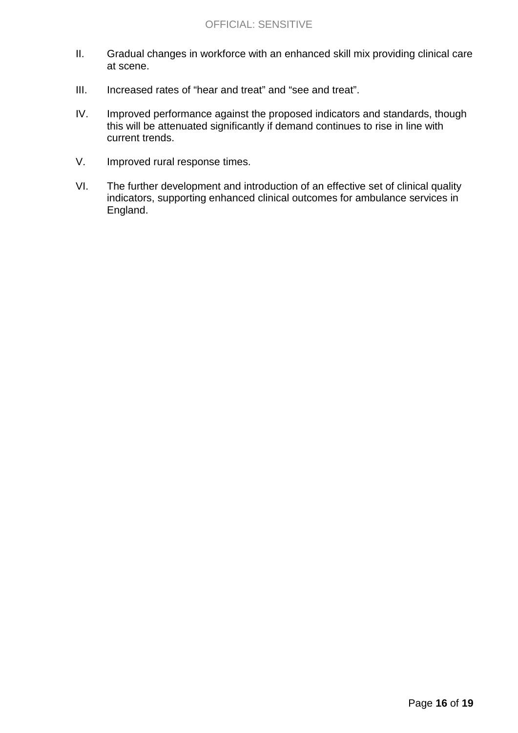- II. Gradual changes in workforce with an enhanced skill mix providing clinical care at scene.
- III. Increased rates of "hear and treat" and "see and treat".
- IV. Improved performance against the proposed indicators and standards, though this will be attenuated significantly if demand continues to rise in line with current trends.
- V. Improved rural response times.
- VI. The further development and introduction of an effective set of clinical quality indicators, supporting enhanced clinical outcomes for ambulance services in England.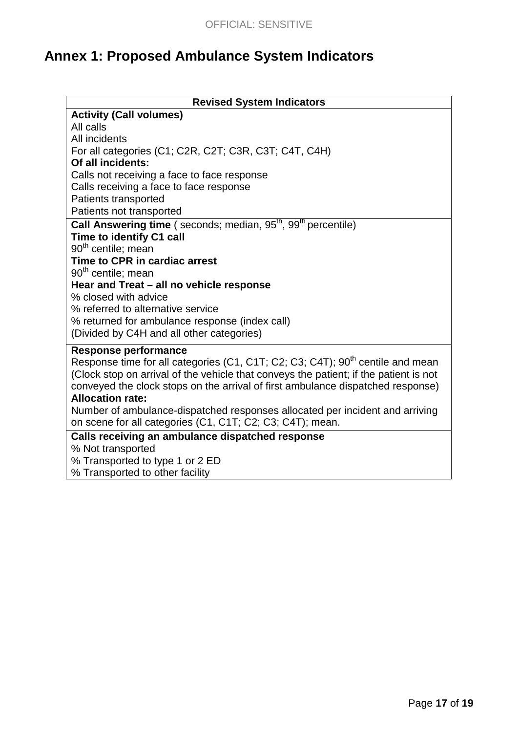# **Annex 1: Proposed Ambulance System Indicators**

| <b>Revised System Indicators</b>                                                                           |
|------------------------------------------------------------------------------------------------------------|
| <b>Activity (Call volumes)</b>                                                                             |
| All calls                                                                                                  |
| All incidents                                                                                              |
| For all categories (C1; C2R, C2T; C3R, C3T; C4T, C4H)                                                      |
| Of all incidents:                                                                                          |
| Calls not receiving a face to face response                                                                |
| Calls receiving a face to face response                                                                    |
| Patients transported                                                                                       |
| Patients not transported                                                                                   |
| Call Answering time (seconds; median, 95 <sup>th</sup> , 99 <sup>th</sup> percentile)                      |
| Time to identify C1 call                                                                                   |
| 90 <sup>th</sup> centile; mean                                                                             |
| Time to CPR in cardiac arrest                                                                              |
| 90 <sup>th</sup> centile; mean<br>Hear and Treat - all no vehicle response                                 |
| % closed with advice                                                                                       |
| % referred to alternative service                                                                          |
| % returned for ambulance response (index call)                                                             |
| (Divided by C4H and all other categories)                                                                  |
|                                                                                                            |
| <b>Response performance</b>                                                                                |
| Response time for all categories (C1, C1T; C2; C3; C4T); 90 <sup>th</sup> centile and mean                 |
| (Clock stop on arrival of the vehicle that conveys the patient; if the patient is not                      |
| conveyed the clock stops on the arrival of first ambulance dispatched response)<br><b>Allocation rate:</b> |
| Number of ambulance-dispatched responses allocated per incident and arriving                               |
| on scene for all categories (C1, C1T; C2; C3; C4T); mean.                                                  |
| Calls receiving an ambulance dispatched response                                                           |
| % Not transported                                                                                          |
| % Transported to type 1 or 2 ED                                                                            |
| % Transported to other facility                                                                            |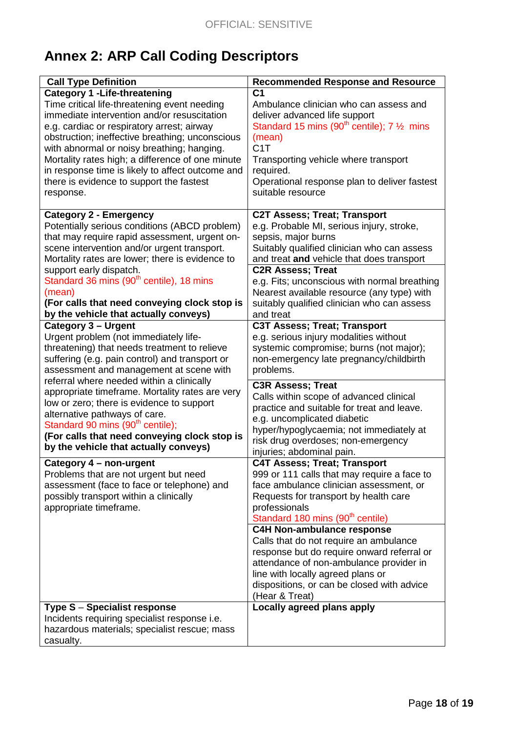# **Annex 2: ARP Call Coding Descriptors**

| <b>Call Type Definition</b>                                                                                                                                                        | <b>Recommended Response and Resource</b>                                                                                                                                                                                                                                  |
|------------------------------------------------------------------------------------------------------------------------------------------------------------------------------------|---------------------------------------------------------------------------------------------------------------------------------------------------------------------------------------------------------------------------------------------------------------------------|
| <b>Category 1 - Life-threatening</b>                                                                                                                                               | C <sub>1</sub>                                                                                                                                                                                                                                                            |
| Time critical life-threatening event needing                                                                                                                                       | Ambulance clinician who can assess and                                                                                                                                                                                                                                    |
| immediate intervention and/or resuscitation                                                                                                                                        | deliver advanced life support                                                                                                                                                                                                                                             |
| e.g. cardiac or respiratory arrest; airway                                                                                                                                         | Standard 15 mins $(90th$ centile); 7 $\frac{1}{2}$ mins                                                                                                                                                                                                                   |
| obstruction; ineffective breathing; unconscious                                                                                                                                    | (mean)                                                                                                                                                                                                                                                                    |
| with abnormal or noisy breathing; hanging.                                                                                                                                         | C1T                                                                                                                                                                                                                                                                       |
| Mortality rates high; a difference of one minute                                                                                                                                   | Transporting vehicle where transport                                                                                                                                                                                                                                      |
| in response time is likely to affect outcome and                                                                                                                                   | required.                                                                                                                                                                                                                                                                 |
| there is evidence to support the fastest                                                                                                                                           | Operational response plan to deliver fastest                                                                                                                                                                                                                              |
| response.                                                                                                                                                                          | suitable resource                                                                                                                                                                                                                                                         |
| <b>Category 2 - Emergency</b>                                                                                                                                                      | <b>C2T Assess; Treat; Transport</b>                                                                                                                                                                                                                                       |
| Potentially serious conditions (ABCD problem)                                                                                                                                      | e.g. Probable MI, serious injury, stroke,                                                                                                                                                                                                                                 |
| that may require rapid assessment, urgent on-                                                                                                                                      | sepsis, major burns                                                                                                                                                                                                                                                       |
| scene intervention and/or urgent transport.                                                                                                                                        | Suitably qualified clinician who can assess                                                                                                                                                                                                                               |
| Mortality rates are lower; there is evidence to                                                                                                                                    | and treat and vehicle that does transport                                                                                                                                                                                                                                 |
| support early dispatch.                                                                                                                                                            | <b>C2R Assess; Treat</b>                                                                                                                                                                                                                                                  |
| Standard 36 mins (90 <sup>th</sup> centile), 18 mins                                                                                                                               | e.g. Fits; unconscious with normal breathing                                                                                                                                                                                                                              |
| (mean)                                                                                                                                                                             | Nearest available resource (any type) with                                                                                                                                                                                                                                |
| (For calls that need conveying clock stop is                                                                                                                                       | suitably qualified clinician who can assess                                                                                                                                                                                                                               |
| by the vehicle that actually conveys)                                                                                                                                              | and treat                                                                                                                                                                                                                                                                 |
| Category 3 - Urgent                                                                                                                                                                | <b>C3T Assess; Treat; Transport</b>                                                                                                                                                                                                                                       |
| Urgent problem (not immediately life-                                                                                                                                              | e.g. serious injury modalities without                                                                                                                                                                                                                                    |
| threatening) that needs treatment to relieve                                                                                                                                       | systemic compromise; burns (not major);                                                                                                                                                                                                                                   |
| suffering (e.g. pain control) and transport or                                                                                                                                     | non-emergency late pregnancy/childbirth                                                                                                                                                                                                                                   |
| assessment and management at scene with                                                                                                                                            | problems.                                                                                                                                                                                                                                                                 |
| referral where needed within a clinically                                                                                                                                          | <b>C3R Assess; Treat</b>                                                                                                                                                                                                                                                  |
| appropriate timeframe. Mortality rates are very                                                                                                                                    | Calls within scope of advanced clinical                                                                                                                                                                                                                                   |
| low or zero; there is evidence to support                                                                                                                                          | practice and suitable for treat and leave.                                                                                                                                                                                                                                |
| alternative pathways of care.                                                                                                                                                      | e.g. uncomplicated diabetic                                                                                                                                                                                                                                               |
| Standard 90 mins (90 <sup>th</sup> centile);                                                                                                                                       | hyper/hypoglycaemia; not immediately at                                                                                                                                                                                                                                   |
| (For calls that need conveying clock stop is                                                                                                                                       | risk drug overdoses; non-emergency                                                                                                                                                                                                                                        |
| by the vehicle that actually conveys)                                                                                                                                              | injuries; abdominal pain.                                                                                                                                                                                                                                                 |
| Category 4 - non-urgent<br>Problems that are not urgent but need<br>assessment (face to face or telephone) and<br>possibly transport within a clinically<br>appropriate timeframe. | <b>C4T Assess; Treat; Transport</b><br>999 or 111 calls that may require a face to<br>face ambulance clinician assessment, or<br>Requests for transport by health care<br>professionals<br>Standard 180 mins (90 <sup>th</sup> centile)                                   |
|                                                                                                                                                                                    | <b>C4H Non-ambulance response</b><br>Calls that do not require an ambulance<br>response but do require onward referral or<br>attendance of non-ambulance provider in<br>line with locally agreed plans or<br>dispositions, or can be closed with advice<br>(Hear & Treat) |
| Type S - Specialist response<br>Incidents requiring specialist response i.e.<br>hazardous materials; specialist rescue; mass<br>casualty.                                          | Locally agreed plans apply                                                                                                                                                                                                                                                |